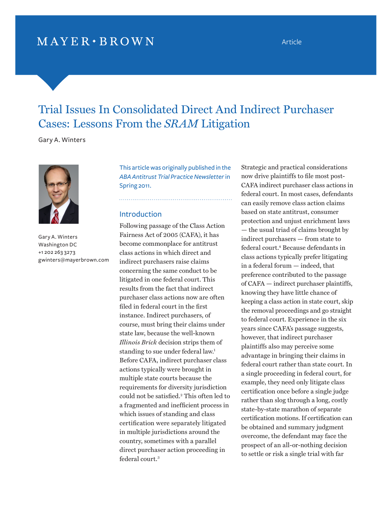## $MAYER \cdot BROWN$

# Trial Issues In Consolidated Direct And Indirect Purchaser Cases: Lessons From the *Sram* Litigation

Gary A. Winters



Gary A. Winters Washington DC +1 202 263 3273 [gwinters@mayerbrown.com](mailto:gwinters@mayerbrown.com) 

This article was originally published in the *ABA Antitrust Trial Practice Newsletter* in Spring 2011.

### Introduction

Following passage of the Class Action Fairness Act of 2005 (CAFA), it has become commonplace for antitrust class actions in which direct and indirect purchasers raise claims concerning the same conduct to be litigated in one federal court. This results from the fact that indirect purchaser class actions now are often filed in federal court in the first instance. Indirect purchasers, of course, must bring their claims under state law, because the well-known *Illinois Brick* decision strips them of standing to sue under federal law.<sup>1</sup> Before CAFA, indirect purchaser class actions typically were brought in multiple state courts because the requirements for diversity jurisdiction could not be satisfied.<sup>2</sup>  [T](#page-8-0)his often led to a fragmented and inefficient process in which issues of standing and class certification were separately litigated in multiple jurisdictions around the country, sometimes with a parallel direct purchaser action proceeding in federal cour[t.3](#page-8-0)

Strategic and practical considerations now drive plaintiffs to file most post-CAFA indirect purchaser class actions in federal court. In most cases, defendants can easily remove class action claims based on state antitrust, consumer protection and unjust enrichment laws — the usual triad of claims brought by indirect purchasers — from state to federal cour[t.4](#page-8-0) Because defendants in class actions typically prefer litigating in a federal forum — indeed, that preference contributed to the passage of CAFA — indirect purchaser plaintiffs, knowing they have little chance of keeping a class action in state court, skip the removal proceedings and go straight to federal court. Experience in the six years since CAFA's passage suggests, however, that indirect purchaser plaintiffs also may perceive some advantage in bringing their claims in federal court rather than state court. In a single proceeding in federal court, for example, they need only litigate class certification once before a single judge rather than slog through a long, costly state-by-state marathon of separate certification motions. If certification can be obtained and summary judgment overcome, the defendant may face the prospect of an all-or-nothing decision to settle or risk a single trial with far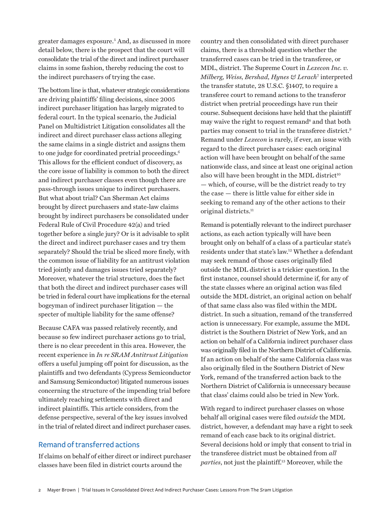greater damages exposur[e.5](#page-8-0) And, as discussed in more detail below, there is the prospect that the court will consolidate the trial of the direct and indirect purchaser claims in some fashion, thereby reducing the cost to the indirect purchasers of trying the case.

The bottom line is that, whatever strategic considerations are driving plaintiffs' filing decisions, since 2005 indirect purchaser litigation has largely migrated to federal court. In the typical scenario, the Judicial Panel on Multidistrict Litigation consolidates all the indirect and direct purchaser class actions alleging the same claims in a single district and assigns them to one judge for coordinated pretrial proceedings.<sup>6</sup> This allows for the efficient conduct of discovery, as the core issue of liability is common to both the direct and indirect purchaser classes even though there are pass-through issues unique to indirect purchasers. But what about trial? Can Sherman Act claims brought by direct purchasers and state-law claims brought by indirect purchasers be consolidated under Federal Rule of Civil Procedure 42(a) and tried together before a single jury? Or is it advisable to split the direct and indirect purchaser cases and try them separately? Should the trial be sliced more finely, with the common issue of liability for an antitrust violation tried jointly and damages issues tried separately? Moreover, whatever the trial structure, does the fact that both the direct and indirect purchaser cases will be tried in federal court have implications for the eternal bogeyman of indirect purchaser litigation — the specter of multiple liability for the same offense?

Because CAFA was passed relatively recently, and because so few indirect purchaser actions go to trial, there is no clear precedent in this area. However, the recent experience in *In re SRAM Antitrust Litigation* offers a useful jumping off point for discussion, as the plaintiffs and two defendants (Cypress Semiconductor and Samsung Semiconductor) litigated numerous issues concerning the structure of the impending trial before ultimately reaching settlements with direct and indirect plaintiffs. This article considers, from the defense perspective, several of the key issues involved in the trial of related direct and indirect purchaser cases.

## Remand of transferred actions

If claims on behalf of either direct or indirect purchaser classes have been filed in district courts around the

country and then consolidated with direct purchaser claims, there is a threshold question whether the transferred cases can be tried in the transferee, or MDL, district. The Supreme Court in *Lexecon Inc. v. Milberg, Weiss, Bershad, Hynes & Lerach*<sup>7</sup>  [in](#page-8-0)terpreted the transfer statute, 28 U.S.C. §1407, to require a transferee court to remand actions to the transferor district when pretrial proceedings have run their course. Subsequent decisions have held that the plaintiff may waive the right to request remand<sup>8</sup> and that both parties may consent to trial in the transferee distri[ct.9](#page-8-0) Remand under *Lexecon* is rarely, if ever, an issue with regard to the direct purchaser cases: each original action will have been brought on behalf of the same nationwide class, and since at least one original action also will have been brought in the MDL district<sup>10</sup> — which, of course, will be the district ready to try the case — there is little value for either side in seeking to remand any of the other actions to their original district[s.11](#page-8-0)

Remand is potentially relevant to the indirect purchaser actions, as each action typically will have been brought only on behalf of a class of a particular state's residents under that state's la[w.12 W](#page-8-0)hether a defendant may seek remand of those cases originally filed outside the MDL district is a trickier question. In the first instance, counsel should determine if, for any of the state classes where an original action was filed outside the MDL district, an original action on behalf of that same class also was filed within the MDL district. In such a situation, remand of the transferred action is unnecessary. For example, assume the MDL district is the Southern District of New York, and an action on behalf of a California indirect purchaser class was originally filed in the Northern District of California. If an action on behalf of the same California class was also originally filed in the Southern District of New York, remand of the transferred action back to the Northern District of California is unnecessary because that class' claims could also be tried in New York.

With regard to indirect purchaser classes on whose behalf all original cases were filed *outside* the MDL district, however, a defendant may have a right to seek remand of each case back to its original district. Several decisions hold or imply that consent to trial in the transferee district must be obtained from *all parties*, not just the plaintif[f.13 M](#page-8-0)oreover, while the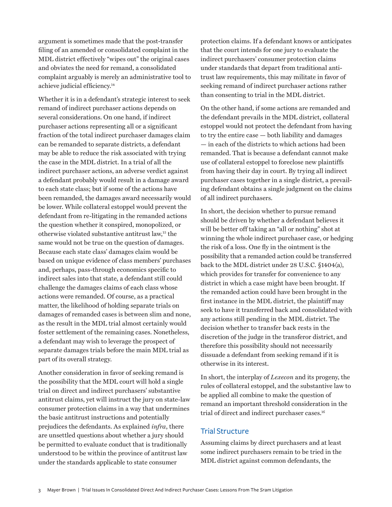argument is sometimes made that the post-transfer filing of an amended or consolidated complaint in the MDL district effectively "wipes out" the original cases and obviates the need for remand, a consolidated complaint arguably is merely an administrative tool to achieve judicial efficienc[y.](#page-9-0)<sup>14</sup>

Whether it is in a defendant's strategic interest to seek remand of indirect purchaser actions depends on several considerations. On one hand, if indirect purchaser actions representing all or a significant fraction of the total indirect purchaser damages claim can be remanded to separate districts, a defendant may be able to reduce the risk associated with trying the case in the MDL district. In a trial of all the indirect purchaser actions, an adverse verdict against a defendant probably would result in a damage award to each state class; but if some of the actions have been remanded, the damages award necessarily would be lower. While collateral estoppel would prevent the defendant from re-litigating in the remanded actions the question whether it conspired, monopolized, or otherwise violated substantive antitrust la[w,15 t](#page-9-0)he same would not be true on the question of damages. Because each state class' damages claim would be based on unique evidence of class members' purchases and, perhaps, pass-through economics specific to indirect sales into that state, a defendant still could challenge the damages claims of each class whose actions were remanded. Of course, as a practical matter, the likelihood of holding separate trials on damages of remanded cases is between slim and none, as the result in the MDL trial almost certainly would foster settlement of the remaining cases. Nonetheless, a defendant may wish to leverage the prospect of separate damages trials before the main MDL trial as part of its overall strategy.

Another consideration in favor of seeking remand is the possibility that the MDL court will hold a single trial on direct and indirect purchasers' substantive antitrust claims, yet will instruct the jury on state-law consumer protection claims in a way that undermines the basic antitrust instructions and potentially prejudices the defendants. As explained *infra*, there are unsettled questions about whether a jury should be permitted to evaluate conduct that is traditionally understood to be within the province of antitrust law under the standards applicable to state consumer

protection claims. If a defendant knows or anticipates that the court intends for one jury to evaluate the indirect purchasers' consumer protection claims under standards that depart from traditional antitrust law requirements, this may militate in favor of seeking remand of indirect purchaser actions rather than consenting to trial in the MDL district.

On the other hand, if some actions are remanded and the defendant prevails in the MDL district, collateral estoppel would not protect the defendant from having to try the entire case — both liability and damages — in each of the districts to which actions had been remanded. That is because a defendant cannot make use of collateral estoppel to foreclose new plaintiffs from having their day in court. By trying all indirect purchaser cases together in a single district, a prevailing defendant obtains a single judgment on the claims of all indirect purchasers.

In short, the decision whether to pursue remand should be driven by whether a defendant believes it will be better off taking an "all or nothing" shot at winning the whole indirect purchaser case, or hedging the risk of a loss. One fly in the ointment is the possibility that a remanded action could be transferred back to the MDL district under 28 U.S.C. §1404(a), which provides for transfer for convenience to any district in which a case might have been brought. If the remanded action could have been brought in the first instance in the MDL district, the plaintiff may seek to have it transferred back and consolidated with any actions still pending in the MDL district. The decision whether to transfer back rests in the discretion of the judge in the transferor district, and therefore this possibility should not necessarily dissuade a defendant from seeking remand if it is otherwise in its interest.

In short, the interplay of *Lexecon* and its progeny, the rules of collateral estoppel, and the substantive law to be applied all combine to make the question of remand an important threshold consideration in the trial of direct and indirect purchaser cases.<sup>16</sup>

## Trial Structure

Assuming claims by direct purchasers and at least some indirect purchasers remain to be tried in the MDL district against common defendants, the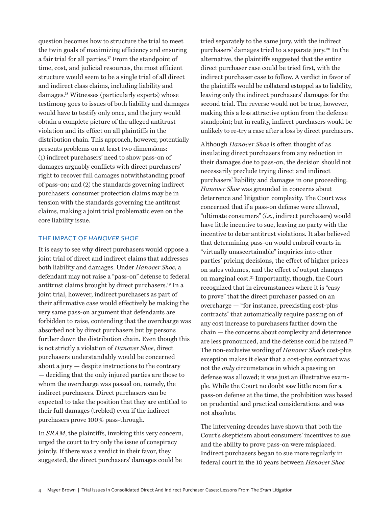question becomes how to structure the trial to meet the twin goals of maximizing efficiency and ensuring a fair trial for all partie[s.17 F](#page-9-0)rom the standpoint of time, cost, and judicial resources, the most efficient structure would seem to be a single trial of all direct and indirect class claims, including liability and damage[s.18 W](#page-9-0)itnesses (particularly experts) whose testimony goes to issues of both liability and damages would have to testify only once, and the jury would obtain a complete picture of the alleged antitrust violation and its effect on all plaintiffs in the distribution chain. This approach, however, potentially presents problems on at least two dimensions: (1) indirect purchasers' need to show pass-on of damages arguably conflicts with direct purchasers' right to recover full damages notwithstanding proof of pass-on; and (2) the standards governing indirect purchasers' consumer protection claims may be in tension with the standards governing the antitrust claims, making a joint trial problematic even on the core liability issue.

#### The Impact of *Hanover Shoe*

It is easy to see why direct purchasers would oppose a joint trial of direct and indirect claims that addresses both liability and damages. Under *Hanover Shoe*, a defendant may not raise a "pass-on" defense to federal antitrust claims brought by direct purchaser[s.19 I](#page-9-0)n a joint trial, however, indirect purchasers as part of their affirmative case would effectively be making the very same pass-on argument that defendants are forbidden to raise, contending that the overcharge was absorbed not by direct purchasers but by persons further down the distribution chain. Even though this is not strictly a violation of *Hanover Shoe*, direct purchasers understandably would be concerned about a jury — despite instructions to the contrary — deciding that the only injured parties are those to whom the overcharge was passed on, namely, the indirect purchasers. Direct purchasers can be expected to take the position that they are entitled to their full damages (trebled) even if the indirect purchasers prove 100% pass-through.

In *SRAM*, the plaintiffs, invoking this very concern, urged the court to try only the issue of conspiracy jointly. If there was a verdict in their favor, they suggested, the direct purchasers' damages could be

tried separately to the same jury, with the indirect purchasers' damages tried to a separate jur[y.20 In](#page-9-0) the alternative, the plaintiffs suggested that the entire direct purchaser case could be tried first, with the indirect purchaser case to follow. A verdict in favor of the plaintiffs would be collateral estoppel as to liability, leaving only the indirect purchasers' damages for the second trial. The reverse would not be true, however, making this a less attractive option from the defense standpoint; but in reality, indirect purchasers would be unlikely to re-try a case after a loss by direct purchasers.

Although *Hanover Shoe* is often thought of as insulating direct purchasers from any reduction in their damages due to pass-on, the decision should not necessarily preclude trying direct and indirect purchasers' liability and damages in one proceeding. *Hanover Shoe* was grounded in concerns about deterrence and litigation complexity. The Court was concerned that if a pass-on defense were allowed, "ultimate consumers" (*i.e.*, indirect purchasers) would have little incentive to sue, leaving no party with the incentive to deter antitrust violations. It also believed that determining pass-on would embroil courts in "virtually unascertainable" inquiries into other parties' pricing decisions, the effect of higher prices on sales volumes, and the effect of output changes on marginal cos[t.21 Im](#page-9-0)portantly, though, the Court recognized that in circumstances where it is "easy to prove" that the direct purchaser passed on an overcharge — "for instance, preexisting cost-plus contracts" that automatically require passing on of any cost increase to purchasers farther down the chain — the concerns about complexity and deterrence are less pronounced, and the defense could be raised.<sup>22</sup> The non-exclusive wording of *Hanover Shoe*'s cost-plus exception makes it clear that a cost-plus contract was not the *only* circumstance in which a passing on defense was allowed; it was just an illustrative example. While the Court no doubt saw little room for a pass-on defense at the time, the prohibition was based on prudential and practical considerations and was not absolute.

The intervening decades have shown that both the Court's skepticism about consumers' incentives to sue and the ability to prove pass-on were misplaced. Indirect purchasers began to sue more regularly in federal court in the 10 years between *Hanover Shoe*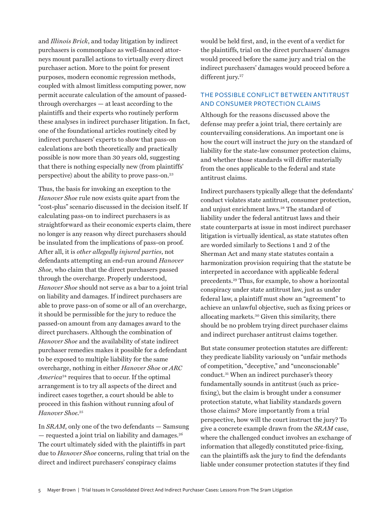and *Illinois Brick*, and today litigation by indirect purchasers is commonplace as well-financed attorneys mount parallel actions to virtually every direct purchaser action. More to the point for present purposes, modern economic regression methods, coupled with almost limitless computing power, now permit accurate calculation of the amount of passedthrough overcharges — at least according to the plaintiffs and their experts who routinely perform these analyses in indirect purchaser litigation. In fact, one of the foundational articles routinely cited by indirect purchasers' experts to show that pass-on calculations are both theoretically and practically possible is now more than 30 years old, suggesting that there is nothing especially new (from plaintiffs' perspective) about the ability to prove pass-on.<sup>23</sup>

Thus, the basis for invoking an exception to the *Hanover Shoe* rule now exists quite apart from the "cost-plus" scenario discussed in the decision itself. If calculating pass-on to indirect purchasers is as straightforward as their economic experts claim, there no longer is any reason why direct purchasers should be insulated from the implications of pass-on proof. After all, it is *other allegedly injured parties*, not defendants attempting an end-run around *Hanover Shoe*, who claim that the direct purchasers passed through the overcharge. Properly understood, *Hanover Shoe* should not serve as a bar to a joint trial on liability and damages. If indirect purchasers are able to prove pass-on of some or all of an overcharge, it should be permissible for the jury to reduce the passed-on amount from any damages award to the direct purchasers. Although the combination of *Hanover Shoe* and the availability of state indirect purchaser remedies makes it possible for a defendant to be exposed to multiple liability for the same overcharge, nothing in either *Hanover Shoe* or *ARC America*[24 r](#page-9-0)equires that to occur. If the optimal arrangement is to try all aspects of the direct and indirect cases together, a court should be able to proceed in t[his fas](#page-9-0)hion without running afoul of *Hanover Shoe*. 25

In *SRAM*, only one of the two defendants — Samsung  $-$  requested a joint trial on liability and damages.<sup>26</sup> The court ultimately sided with the plaintiffs in part due to *Hanover Shoe* concerns, ruling that trial on the direct and indirect purchasers' conspiracy claims

would be held first, and, in the event of a verdict for the plaintiffs, trial on the direct purchasers' damages would proceed before the same jury and trial on the indirect purchasers' damages would proceed before a different jury.<sup>27</sup>

## The Possible Conflict Between Antitrust and Consumer Protection Claims

Although for the reasons discussed above the defense may prefer a joint trial, there certainly are countervailing considerations. An important one is how the court will instruct the jury on the standard of liability for the state-law consumer protection claims, and whether those standards will differ materially from the ones applicable to the federal and state antitrust claims.

Indirect purchasers typically allege that the defendants' conduct violates state antitrust, consumer protection, and unjust enrichment law[s.28 T](#page-9-0)he standard of liability under the federal antitrust laws and their state counterparts at issue in most indirect purchaser litigation is virtually identical, as state statutes often are worded similarly to Sections 1 and 2 of the Sherman Act and many state statutes contain a harmonization provision requiring that the statute be interpreted in accordance with applicable federal preceden[ts.29 T](#page-9-0)hus, for example, to show a horizontal conspiracy under state antitrust law, just as under federal law, a plaintiff must show an "agreement" to achieve an unlawful objective, such as fixing prices or allocating market[s.30 G](#page-9-0)iven this similarity, there should be no problem trying direct purchaser claims and indirect purchaser antitrust claims together.

But state consumer protection statutes are different: they predicate liability variously on "unfair methods of competition, "deceptive," and "unconscionable" conduc[t.31 W](#page-9-0)hen an indirect purchaser's theory fundamentally sounds in antitrust (such as pricefixing), but the claim is brought under a consumer protection statute, what liability standards govern those claims? More importantly from a trial perspective, how will the court instruct the jury? To give a concrete example drawn from the *SRAM* case, where the challenged conduct involves an exchange of information that allegedly constituted price-fixing, can the plaintiffs ask the jury to find the defendants liable under consumer protection statutes if they find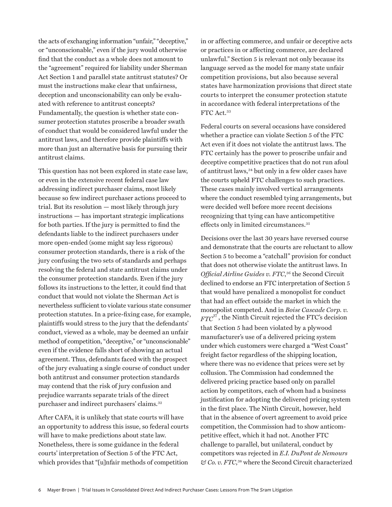the acts of exchanging information "unfair," "deceptive," or "unconscionable," even if the jury would otherwise find that the conduct as a whole does not amount to the "agreement" required for liability under Sherman Act Section 1 and parallel state antitrust statutes? Or must the instructions make clear that unfairness, deception and unconscionability can only be evaluated with reference to antitrust concepts? Fundamentally, the question is whether state consumer protection statutes proscribe a broader swath of conduct that would be considered lawful under the antitrust laws, and therefore provide plaintiffs with more than just an alternative basis for pursuing their antitrust claims.

This question has not been explored in state case law, or even in the extensive recent federal case law addressing indirect purchaser claims, most likely because so few indirect purchaser actions proceed to trial. But its resolution — most likely through jury instructions — has important strategic implications for both parties. If the jury is permitted to find the defendants liable to the indirect purchasers under more open-ended (some might say less rigorous) consumer protection standards, there is a risk of the jury confusing the two sets of standards and perhaps resolving the federal and state antitrust claims under the consumer protection standards. Even if the jury follows its instructions to the letter, it could find that conduct that would not violate the Sherman Act is nevertheless sufficient to violate various state consumer protection statutes. In a price-fixing case, for example, plaintiffs would stress to the jury that the defendants' conduct, viewed as a whole, may be deemed an unfair method of competition, "deceptive," or "unconscionable" even if the evidence falls short of showing an actual agreement. Thus, defendants faced with the prospect of the jury evaluating a single course of conduct under both antitrust and consumer protection standards may contend that the risk of jury confusion and prejudice warrants separate trials of the direct purchaser and indirect purchasers' claim[s.32](#page-9-0)

After CAFA, it is unlikely that state courts will have an opportunity to address this issue, so federal courts will have to make predictions about state law. Nonetheless, there is some guidance in the federal courts' interpretation of Section 5 of the FTC Act, which provides that "[u]nfair methods of competition

in or affecting commerce, and unfair or deceptive acts or practices in or affecting commerce, are declared unlawful." Section 5 is relevant not only because its language served as the model for many state unfair competition provisions, but also because several states have harmonization provisions that direct state courts to interpret the consumer protection statute in accordance with federal interpretations of the FTC Act.<sup>33</sup>

Federal courts on several occasions have considered whether a practice can violate Section 5 of the FTC Act even if it does not violate the antitrust laws. The FTC certainly has the power to proscribe unfair and deceptive competitive practices that do not run afoul of antitrust law[s,34 b](#page-9-0)ut only in a few older cases have the courts upheld FTC challenges to such practices. These cases mainly involved vertical arrangements where the conduct resembled tying arrangements, but were decided well before more recent decisions recognizing that tying can have anticompetitive effects only in limited circumstances.<sup>35</sup>

Decisions over the last 30 years have reversed course and demonstrate that the courts are reluctant to allow Section 5 to become a "catchall" provision for conduct that does not otherwise violate the antitrust laws. In *Official Airline Guides v. FTC*, [36 t](#page-9-0)he Second Circuit declined to endorse an FTC interpretation of Section 5 that would have penalized a monopolist for conduct that had an effect outside the market in which the mo[nop](#page-9-0)olist competed. And in *Boise Cascade Corp. v.*   $FTC^{37}$ , the Ninth Circuit rejected the FTC's decision that Section 5 had been violated by a plywood manufacturer's use of a delivered pricing system under which customers were charged a "West Coast" freight factor regardless of the shipping location, where there was no evidence that prices were set by collusion. The Commission had condemned the delivered pricing practice based only on parallel action by competitors, each of whom had a business justification for adopting the delivered pricing system in the first place. The Ninth Circuit, however, held that in the absence of overt agreement to avoid price competition, the Commission had to show anticompetitive effect, which it had not. Another FTC challenge to parallel, but unilateral, conduct by competitors was rejected in *E.I. DuPont de Nemours & Co. v. FTC*, [38 w](#page-9-0)here the Second Circuit characterized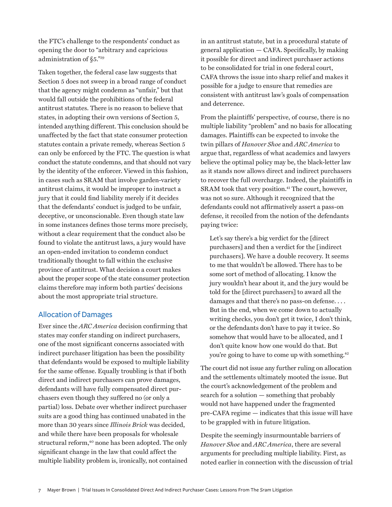the FTC's challenge to the respondents' conduct as opening the door to "arbitrary and capricious administration of §5[."39](#page-9-0)

Taken together, the federal case law suggests that Section 5 does not sweep in a broad range of conduct that the agency might condemn as "unfair," but that would fall outside the prohibitions of the federal antitrust statutes. There is no reason to believe that states, in adopting their own versions of Section 5, intended anything different. This conclusion should be unaffected by the fact that state consumer protection statutes contain a private remedy, whereas Section 5 can only be enforced by the FTC. The question is what conduct the statute condemns, and that should not vary by the identity of the enforcer. Viewed in this fashion, in cases such as SRAM that involve garden-variety antitrust claims, it would be improper to instruct a jury that it could find liability merely if it decides that the defendants' conduct is judged to be unfair, deceptive, or unconscionable. Even though state law in some instances defines those terms more precisely, without a clear requirement that the conduct also be found to violate the antitrust laws, a jury would have an open-ended invitation to condemn conduct traditionally thought to fall within the exclusive province of antitrust. What decision a court makes about the proper scope of the state consumer protection claims therefore may inform both parties' decisions about the most appropriate trial structure.

## Allocation of Damages

Ever since the *ARC America* decision confirming that states may confer standing on indirect purchasers, one of the most significant concerns associated with indirect purchaser litigation has been the possibility that defendants would be exposed to multiple liability for the same offense. Equally troubling is that if both direct and indirect purchasers can prove damages, defendants will have fully compensated direct purchasers even though they suffered no (or only a partial) loss. Debate over whether indirect purchaser suits are a good thing has continued unabated in the more than 30 years since *Illinois Brick* was decided, and while there have been proposals for wholesale structural reform,<sup>40</sup> none has been adopted. The only significant change in the law that could affect the multiple liability problem is, ironically, not contained

in an antitrust statute, but in a procedural statute of general application — CAFA. Specifically, by making it possible for direct and indirect purchaser actions to be consolidated for trial in one federal court, CAFA throws the issue into sharp relief and makes it possible for a judge to ensure that remedies are consistent with antitrust law's goals of compensation and deterrence.

From the plaintiffs' perspective, of course, there is no multiple liability "problem" and no basis for allocating damages. Plaintiffs can be expected to invoke the twin pillars of *Hanover Shoe* and *ARC America* to argue that, regardless of what academics and lawyers believe the optimal policy may be, the black-letter law as it stands now allows direct and indirect purchasers to recover the full overcharge. Indeed, the plaintiffs in SRAM took that very position.<sup>41</sup> The court, however, was not so sure. Although it recognized that the defendants could not affirmatively assert a pass-on defense, it recoiled from the notion of the defendants paying twice:

Let's say there's a big verdict for the [direct purchasers] and then a verdict for the [indirect purchasers]. We have a double recovery. It seems to me that wouldn't be allowed. There has to be some sort of method of allocating. I know the jury wouldn't hear about it, and the jury would be told for the [direct purchasers] to award all the damages and that there's no pass-on defense. . . . But in the end, when we come down to actually writing checks, you don't get it twice, I don't think, or the defendants don't have to pay it twice. So somehow that would have to be allocated, and I don't quite know how one would do that. But you're going to have to come up with something.<sup>42</sup>

The court did not issue any further ruling on allocation and the settlements ultimately mooted the issue. But the court's acknowledgement of the problem and search for a solution — something that probably would not have happened under the fragmented pre-CAFA regime — indicates that this issue will have to be grappled with in future litigation.

Despite the seemingly insurmountable barriers of *Hanover Shoe* and *ARC America*, there are several arguments for precluding multiple liability. First, as noted earlier in connection with the discussion of trial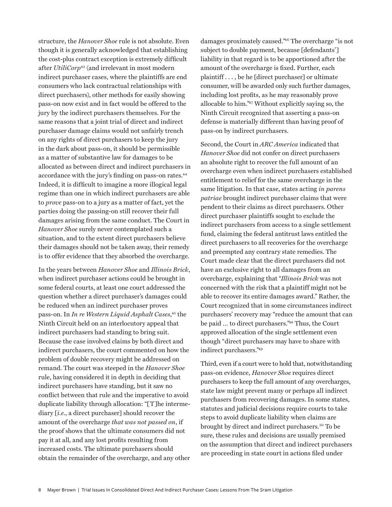structure, the *Hanover Shoe* rule is not absolute. Even though it is generally acknowledged that establishing the cost-plus contract exception is extremely difficult after *UtiliCorp*[43 \(a](#page-10-0)nd irrelevant in most modern indirect purchaser cases, where the plaintiffs are end consumers who lack contractual relationships with direct purchasers), other methods for easily showing pass-on now exist and in fact would be offered to the jury by the indirect purchasers themselves. For the same reasons that a joint trial of direct and indirect purchaser damage claims would not unfairly trench on any rights of direct purchasers to keep the jury in the dark about pass-on, it should be permissible as a matter of substantive law for damages to be allocated as between direct and indirect purchasers in accordance with the jury's finding on pass-on rates.<sup>[44](#page-10-0)</sup> Indeed, it is difficult to imagine a more illogical legal regime than one in which indirect purchasers are able to *prove* pass-on to a jury as a matter of fact, yet the parties doing the passing-on still recover their full damages arising from the same conduct. The Court in *Hanover Shoe* surely never contemplated such a situation, and to the extent direct purchasers believe their damages should not be taken away, their remedy is to offer evidence that they absorbed the overcharge.

In the years between *Hanover Shoe* and *Illinois Brick*, when indirect purchaser actions could be brought in some federal courts, at least one court addressed the question whether a direct purchaser's damages could be reduced when an indirect purchaser proves pass-on. In *In re Western Liquid Asphalt Cases*, [45 t](#page-10-0)he Ninth Circuit held on an interlocutory appeal that indirect purchasers had standing to bring suit. Because the case involved claims by both direct and indirect purchasers, the court commented on how the problem of double recovery might be addressed on remand. The court was steeped in the *Hanover Shoe*  rule, having considered it in depth in deciding that indirect purchasers have standing, but it saw no conflict between that rule and the imperative to avoid duplicate liability through allocation: "[T]he intermediary [*i.e.*, a direct purchaser] should recover the amount of the overcharge *that was not passed on*, if the proof shows that the ultimate consumers did not pay it at all, and any lost profits resulting from increased costs. The ultimate purchasers should obtain the remainder of the overcharge, and any other damages proximately caused[."46 T](#page-10-0)he overcharge "is not subject to double payment, because [defendants'] liability in that regard is to be apportioned after the amount of the overcharge is fixed. Further, each plaintiff . . . , be he [direct purchaser] or ultimate consumer, will be awarded only such further damages, including lost profits, as he may reasonably prove allocable to him[."47 W](#page-10-0)ithout explicitly saying so, the Ninth Circuit recognized that asserting a pass-on defense is materially different than having proof of pass-on by indirect purchasers.

Second, the Court in *ARC America* indicated that *Hanover Shoe* did not confer on direct purchasers an absolute right to recover the full amount of an overcharge even when indirect purchasers established entitlement to relief for the same overcharge in the same litigation. In that case, states acting *in parens patriae* brought indirect purchaser claims that were pendent to their claims as direct purchasers. Other direct purchaser plaintiffs sought to exclude the indirect purchasers from access to a single settlement fund, claiming the federal antitrust laws entitled the direct purchasers to all recoveries for the overcharge and preempted any contrary state remedies. The Court made clear that the direct purchasers did not have an exclusive right to all damages from an overcharge, explaining that "*Illinois Brick* was not concerned with the risk that a plaintiff might not be able to recover its entire damages award." Rather, the Court recognized that in some circumstances indirect purchasers' recovery may "reduce the amount that can be paid … to direct purchaser[s."48 T](#page-10-0)hus, the Court approved allocation of the single settlement even though "direct purchasers may have to share with indirect purchasers[."49](#page-10-0)

Third, even if a court were to hold that, notwithstanding pass-on evidence, *Hanover Shoe* requires direct purchasers to keep the full amount of any overcharges, state law might prevent many or perhaps all indirect purchasers from recovering damages. In some states, statutes and judicial decisions require courts to take steps to avoid duplicate liability when claims are brought by direct and indirect purchasers.<sup>50</sup> To be sure, these rules and decisions are usually premised on the assumption that direct and indirect purchasers are proceeding in state court in actions filed under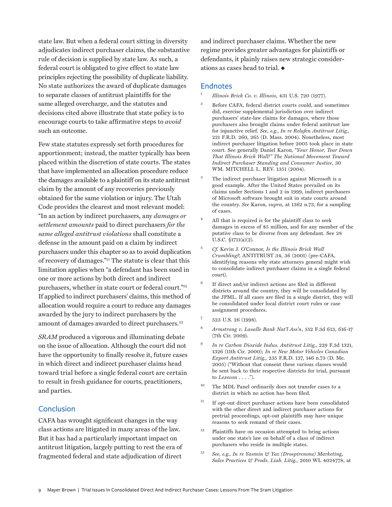<span id="page-8-0"></span>state law. But when a federal court sitting in diversity adjudicates indirect purchaser claims, the substantive rule of decision is supplied by state law. As such, a federal court is obligated to give effect to state law principles rejecting the possibility of duplicate liability. No state authorizes the award of duplicate damages to separate classes of antitrust plaintiffs for the same alleged overcharge, and the statutes and decisions cited above illustrate that state policy is to encourage courts to take affirmative steps to *avoid* such an outcome.

Few state statutes expressly set forth procedures for apportionment; instead, the matter typically has been placed within the discretion of state courts. The states that have implemented an allocation procedure reduce the damages available to a plaintiff on its state antitrust claim by the amount of any recoveries previously obtained for the same violation or injury. The Utah Code provides the clearest and most relevant model: "In an action by indirect purchasers, any *damages or settlement amounts* paid to direct purchasers *for the same alleged antitrust violations* shall constitute a defense in the amount paid on a claim by indirect purchasers under this chapter so as to avoid duplication of recovery of damage[s."51 Th](#page-10-0)e statute is clear that this limitation applies when "a defendant has been sued in one or more actions by both direct and indirect purchasers, whether in state court or federal court[."52](#page-10-0) If applied to indirect purchasers' claims, this method of allocation would require a court to reduce any damages awarded by the jury to indirect purchasers by the amount of damages awarded to direct purchasers.<sup>53</sup>

*SRAM* produced a vigorous and illuminating debate on the issue of allocation. Although the court did not have the opportunity to finally resolve it, future cases in which direct and indirect purchaser claims head toward trial before a single federal court are certain to result in fresh guidance for courts, practitioners, and parties.

## **Conclusion**

CAFA has wrought significant changes in the way class actions are litigated in many areas of the law. But it has had a particularly important impact on antitrust litigation, largely putting to rest the era of fragmented federal and state adjudication of direct

and indirect purchaser claims. Whether the new regime provides greater advantages for plaintiffs or defendants, it plainly raises new strategic considerations as cases head to trial.  $\triangleleft$ 

#### Endnotes

<sup>1</sup> *Illinois Brick Co. v. Illinois*, 431 U.S. 720 (1977).

- <sup>2</sup> Before CAFA, federal district courts could, and sometimes did, exercise supplemental jurisdiction over indirect purchasers' state-law claims for damages, where those purchasers also brought claims under federal antitrust law for injunctive relief. *See, e.g., In re Relafen Antitrust Litig.*, 221 F.R.D. 260, 265 (D. Mass. 2004). Nonetheless, most indirect purchaser litigation before 2005 took place in state court. See generally Daniel Karon, "*Your Honor, Tear Down That Illinois Brick Wall!" The National Movement Toward Indirect Purchaser Standing and Consumer Justice*, 30 WM. MITCHELL L. REV. 1351 (2004).
- <sup>3</sup> The indirect purchaser litigation against Microsoft is a good example. After the United States prevailed on its claims under Sections 1 and 2 in 1999, indirect purchasers of Microsoft software brought suit in state courts around the country. *See* Karon, *supra*, at 1362 n.73, for a sampling of cases.
- <sup>4</sup> All that is required is for the plaintiff class to seek damages in excess of \$5 million, and for any member of the putative class to be diverse from any defendant. See 28 U.S.C. §1711(a)(2).
- <sup>5</sup> *Cf.* Kevin J. O'Connor, *Is the Illinois Brick Wall Crumbling?*, ANTITRUST 34, 36 (2001) (pre-CAFA, identifying reasons why state attorneys general might wish to consolidate indirect purchaser claims in a single federal court).
- $6$  If direct and/or indirect actions are filed in different districts around the country, they will be consolidated by the JPML. If all cases are filed in a single district, they will be consolidated under local district court rules or case assignment procedures.
- <sup>7</sup> 523 U.S. 26 (1998).
- <sup>8</sup> *Armstrong v. Lasalle Bank Nat'l Ass'n*, 552 F.3d 613, 616-17 (7th Cir. 2009).
- <sup>9</sup> *In re Carbon Dioxide Indus. Antitrust Litig.*, 229 F.3d 1321, 1326 (11th Cir. 2000); *In re New Motor Vehicles Canadian Export Antitrust Litig.*, 235 F.R.D. 127, 146 n.73 (D. Me. 2005) ("Without that consent these various classes would be sent back to their respective districts for trial, pursuant to *Lexecon* . . . .").
- <sup>10</sup> The MDL Panel ordinarily does not transfer cases to a district in which no action has been filed.
- <sup>11</sup> If opt-out direct purchaser actions have been consolidated with the other direct and indirect purchaser actions for pretrial proceedings, opt-out plaintiffs may have unique reasons to seek remand of their cases.
- <sup>12</sup> Plaintiffs have on occasion attempted to bring actions under one state's law on behalf of a class of indirect purchasers who reside in multiple states.
- <sup>13</sup> *See, e.g., In re Yasmin & Yaz (Drospirenone) Marketing, Sales Practices & Prods. Liab. Litig.*, 2010 WL 4024778, at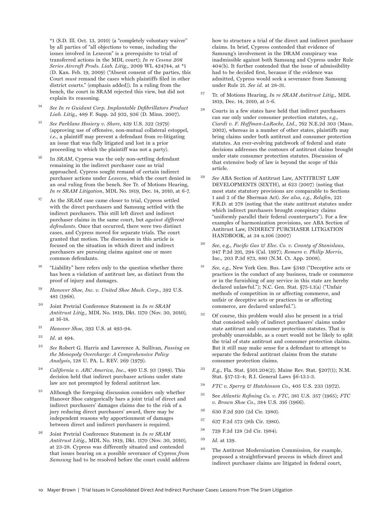<span id="page-9-0"></span>\*1 (S.D. Ill. Oct. 13, 2010) (a "completely voluntary waiver" by all parties of "all objections to venue, including the issues involved in Lexecon" is a prerequisite to trial of transferred actions in the MDL court); *In re Cessna 208 Series Aircraft Prods. Liab. Litig.*, 2009 WL 424744, at \*1 (D. Kan. Feb. 19, 2009) ("Absent consent of the parties, this Court *must* remand the cases which plaintiffs filed in other district courts." (emphasis added)). In a ruling from the bench, the court in SRAM rejected this view, but did not explain its reasoning.

- <sup>14</sup> *See In re Guidant Corp. Implantable Defibrillators Product Liab. Litig.*, 489 F. Supp. 2d 932, 936 (D. Minn. 2007).
- <sup>15</sup> *See Parklane Hosiery v. Shore*, 439 U.S. 322 (1979) (approving use of offensive, non-mutual collateral estoppel, *i.e.*, a plaintiff may prevent a defendant from re-litigating an issue that was fully litigated and lost in a prior proceeding to which the plaintiff was not a party).
- <sup>16</sup> In *SRAM*, Cypress was the only non-settling defendant remaining in the indirect purchaser case as trial approached. Cypress sought remand of certain indirect purchaser actions under *Lexecon*, which the court denied in an oral ruling from the bench. See Tr. of Motions Hearing, *In re SRAM Litigation*, MDL No. 1819, Dec. 14, 2010, at 6-7.
- As the *SRAM* case came closer to trial, Cypress settled with the direct purchasers and Samsung settled with the indirect purchasers. This still left direct and indirect purchaser claims in the same court, but *against different defendants*. Once that occurred, there were two distinct cases, and Cypress moved for separate trials. The court granted that motion. The discussion in this article is focused on the situation in which direct and indirect purchasers are pursuing claims against one or more common defendants.
- <sup>18</sup> "Liability" here refers only to the question whether there has been a violation of antitrust law, as distinct from the proof of injury and damages.
- <sup>19</sup> *Hanover Shoe, Inc. v. United Shoe Mach. Corp.*, 392 U.S. 481 (1968).
- <sup>20</sup> Joint Pretrial Conference Statement in *In re SRAM Antitrust Litig.*, MDL No. 1819, Dkt. 1170 (Nov. 30, 2010), at 16-18.
- <sup>21</sup> *Hanover Shoe*, 392 U.S. at 493-94.
- <sup>22</sup> *Id.* at 494.
- <sup>23</sup> *See* Robert G. Harris and Lawrence A. Sullivan, *Passing on the Monopoly Overcharge: A Comprehensive Policy Analysis*, 128 U. PA. L. REV. 269 (1979).
- <sup>24</sup> *California v. ARC America, Inc.*, 490 U.S. 93 (1989). This decision held that indirect purchaser actions under state law are not preempted by federal antitrust law.
- $25$  Although the foregoing discussion considers only whether Hanover Shoe categorically bars a joint trial of direct and indirect purchasers' damages claims due to the risk of a jury reducing direct purchasers' award, there may be independent reasons why apportionment of damages between direct and indirect purchasers is required.
- <sup>26</sup> Joint Pretrial Conference Statement in *In re SRAM Antitrust Litig.*, MDL No. 1819, Dkt. 1170 (Nov. 30, 2010), at 23-28. Cypress was differently situated and contended that issues bearing on a possible severance of Cypress *from Samsung* had to be resolved before the court could address

how to structure a trial of the direct and indirect purchaser claims. In brief, Cypress contended that evidence of Samsung's involvement in the DRAM conspiracy was inadmissible against both Samsung and Cypress under Rule 404(b). It further contended that the issue of admissibility had to be decided first, because if the evidence was admitted, Cypress would seek a severance from Samsung under Rule 21. *See id.* at 28-31.

- <sup>27</sup> Tr. of Motions Hearing, *In re SRAM Antitrust Litig.*, MDL 1819, Dec. 14, 2010, at 5-6.
- <sup>28</sup> Courts in a few states have held that indirect purchasers can sue only under consumer protection statutes, *e.g., Ciardi v. F. Hoffman-LaRoche, Ltd.*, 762 N.E.2d 303 (Mass. 2002), whereas in a number of other states, plaintiffs may bring claims under both antitrust and consumer protection statutes. An ever-evolving patchwork of federal and state decisions addresses the contours of antitrust claims brought under state consumer protection statutes. Discussion of that extensive body of law is beyond the scope of this article.
- <sup>29</sup> *See* ABA Section of Antitrust Law, ANTITRUST LAW DEVELOPMENTS (SIXTH), at 623 (2007) (noting that most state statutory provisions are comparable to Sections 1 and 2 of the Sherman Act). *See also, e.g., Relafen*, 221 F.R.D. at 278 (noting that the state antitrust statutes under which indirect purchasers brought conspiracy claims "uniformly parallel their federal counterparts"). For a few examples of harmonization provisions, see ABA Section of Antitrust Law, INDIRECT PURCHASER LITIGATION HANDBOOK, at 34 n.106 (2007)
- <sup>30</sup> *See*, e.g., *Pacific Gas & Elec. Co. v. County of Stanislaus*, 947 P.2d 291, 294 (Cal. 1997); *Romero v. Philip Morris*, Inc., 203 P.3d 873, 880 (N.M. Ct. App. 2008).
- <sup>31</sup> *See, e.g.*, New York Gen. Bus. Law §349 ("Deceptive acts or practices in the conduct of any business, trade or commerce or in the furnishing of any service in this state are hereby declared unlawful."); N.C. Gen. Stat. §75-1.1(a) ("Unfair methods of competition in or affecting commerce, and unfair or deceptive acts or practices in or affecting commerce, are declared unlawful.").
- Of course, this problem would also be present in a trial that consisted solely of indirect purchasers' claims under state antitrust and consumer protection statutes. That is probably unavoidable, as a court would not be likely to split the trial of state antitrust and consumer protection claims. But it still may make sense for a defendant to attempt to separate the federal antitrust claims from the statute consumer protection claims.
- <sup>33</sup> *E.g.*, Fla. Stat. §501.204(2); Maine Rev. Stat. §207(1); N.M. Stat. §57-12-4; R.I. General Laws §6-13.1-3.
- <sup>34</sup> *FTC v. Sperry & Hutchinson Co.*, 405 U.S. 233 (1972).
- <sup>35</sup> See *Atlantic Refining Co. v. FTC*, 381 U.S. 357 (1965); *FTC v. Brown Shoe Co.*, 384 U.S. 316 (1966).
- <sup>36</sup> 630 F.2d 920 (2d Cir. 1980).
- <sup>37</sup> 637 F.2d 573 (9th Cir. 1980).
- <sup>38</sup> 729 F.2d 128 (2d Cir. 1984).
- <sup>39</sup> *Id.* at 139.
- <sup>40</sup> The Antitrust Modernization Commission, for example, proposed a straightforward process in which direct and indirect purchaser claims are litigated in federal court,